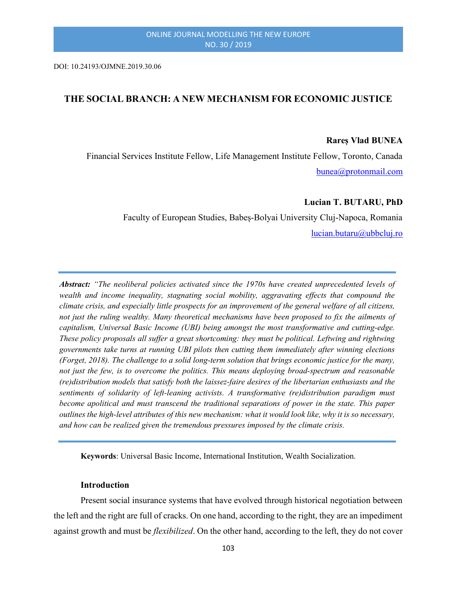DOI: 10.24193/OJMNE.2019.30.06

# THE SOCIAL BRANCH: A NEW MECHANISM FOR ECONOMIC JUSTICE

#### Rareș Vlad BUNEA

 Financial Services Institute Fellow, Life Management Institute Fellow, Toronto, Canada bunea@protonmail.com

### Lucian T. BUTARU, PhD

Faculty of European Studies, Babeș-Bolyai University Cluj-Napoca, Romania lucian.butaru@ubbcluj.ro

Abstract: "The neoliberal policies activated since the 1970s have created unprecedented levels of wealth and income inequality, stagnating social mobility, aggravating effects that compound the climate crisis, and especially little prospects for an improvement of the general welfare of all citizens, not just the ruling wealthy. Many theoretical mechanisms have been proposed to fix the ailments of capitalism, Universal Basic Income (UBI) being amongst the most transformative and cutting-edge. These policy proposals all suffer a great shortcoming: they must be political. Leftwing and rightwing governments take turns at running UBI pilots then cutting them immediately after winning elections (Forget, 2018). The challenge to a solid long-term solution that brings economic justice for the many, not just the few, is to overcome the politics. This means deploying broad-spectrum and reasonable (re)distribution models that satisfy both the laissez-faire desires of the libertarian enthusiasts and the sentiments of solidarity of left-leaning activists. A transformative (re)distribution paradigm must become apolitical and must transcend the traditional separations of power in the state. This paper outlines the high-level attributes of this new mechanism: what it would look like, why it is so necessary, and how can be realized given the tremendous pressures imposed by the climate crisis.

Keywords: Universal Basic Income, International Institution, Wealth Socialization.

# Introduction

Present social insurance systems that have evolved through historical negotiation between the left and the right are full of cracks. On one hand, according to the right, they are an impediment against growth and must be *flexibilized*. On the other hand, according to the left, they do not cover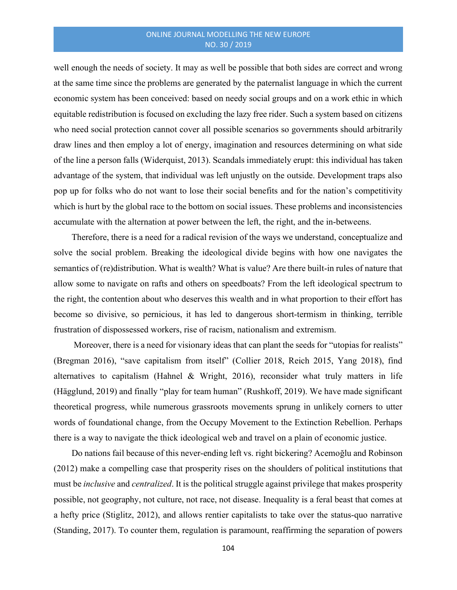## ONLINE JOURNAL MODELLING THE NEW EUROPE NO. 30 / 2019

well enough the needs of society. It may as well be possible that both sides are correct and wrong at the same time since the problems are generated by the paternalist language in which the current economic system has been conceived: based on needy social groups and on a work ethic in which equitable redistribution is focused on excluding the lazy free rider. Such a system based on citizens who need social protection cannot cover all possible scenarios so governments should arbitrarily draw lines and then employ a lot of energy, imagination and resources determining on what side of the line a person falls (Widerquist, 2013). Scandals immediately erupt: this individual has taken advantage of the system, that individual was left unjustly on the outside. Development traps also pop up for folks who do not want to lose their social benefits and for the nation's competitivity which is hurt by the global race to the bottom on social issues. These problems and inconsistencies accumulate with the alternation at power between the left, the right, and the in-betweens.

Therefore, there is a need for a radical revision of the ways we understand, conceptualize and solve the social problem. Breaking the ideological divide begins with how one navigates the semantics of (re)distribution. What is wealth? What is value? Are there built-in rules of nature that allow some to navigate on rafts and others on speedboats? From the left ideological spectrum to the right, the contention about who deserves this wealth and in what proportion to their effort has become so divisive, so pernicious, it has led to dangerous short-termism in thinking, terrible frustration of dispossessed workers, rise of racism, nationalism and extremism.

 Moreover, there is a need for visionary ideas that can plant the seeds for "utopias for realists" (Bregman 2016), "save capitalism from itself" (Collier 2018, Reich 2015, Yang 2018), find alternatives to capitalism (Hahnel & Wright, 2016), reconsider what truly matters in life (Hägglund, 2019) and finally "play for team human" (Rushkoff, 2019). We have made significant theoretical progress, while numerous grassroots movements sprung in unlikely corners to utter words of foundational change, from the Occupy Movement to the Extinction Rebellion. Perhaps there is a way to navigate the thick ideological web and travel on a plain of economic justice.

Do nations fail because of this never-ending left vs. right bickering? Acemoğlu and Robinson (2012) make a compelling case that prosperity rises on the shoulders of political institutions that must be *inclusive* and *centralized*. It is the political struggle against privilege that makes prosperity possible, not geography, not culture, not race, not disease. Inequality is a feral beast that comes at a hefty price (Stiglitz, 2012), and allows rentier capitalists to take over the status-quo narrative (Standing, 2017). To counter them, regulation is paramount, reaffirming the separation of powers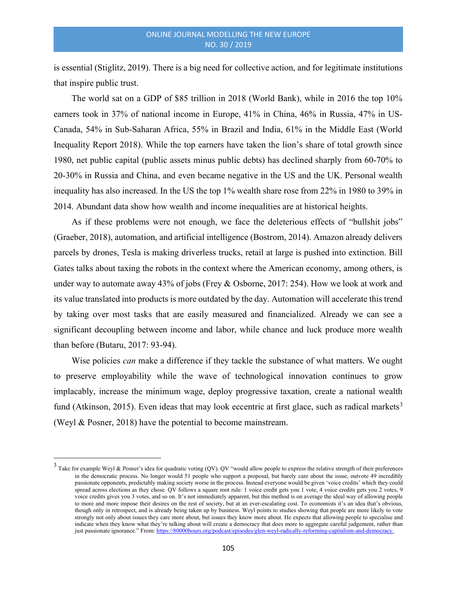is essential (Stiglitz, 2019). There is a big need for collective action, and for legitimate institutions that inspire public trust.

The world sat on a GDP of \$85 trillion in 2018 (World Bank), while in 2016 the top 10% earners took in 37% of national income in Europe, 41% in China, 46% in Russia, 47% in US-Canada, 54% in Sub-Saharan Africa, 55% in Brazil and India, 61% in the Middle East (World Inequality Report 2018). While the top earners have taken the lion's share of total growth since 1980, net public capital (public assets minus public debts) has declined sharply from 60-70% to 20-30% in Russia and China, and even became negative in the US and the UK. Personal wealth inequality has also increased. In the US the top 1% wealth share rose from 22% in 1980 to 39% in 2014. Abundant data show how wealth and income inequalities are at historical heights.

As if these problems were not enough, we face the deleterious effects of "bullshit jobs" (Graeber, 2018), automation, and artificial intelligence (Bostrom, 2014). Amazon already delivers parcels by drones, Tesla is making driverless trucks, retail at large is pushed into extinction. Bill Gates talks about taxing the robots in the context where the American economy, among others, is under way to automate away 43% of jobs (Frey & Osborne, 2017: 254). How we look at work and its value translated into products is more outdated by the day. Automation will accelerate this trend by taking over most tasks that are easily measured and financialized. Already we can see a significant decoupling between income and labor, while chance and luck produce more wealth than before (Butaru, 2017: 93-94).

Wise policies *can* make a difference if they tackle the substance of what matters. We ought to preserve employability while the wave of technological innovation continues to grow implacably, increase the minimum wage, deploy progressive taxation, create a national wealth fund (Atkinson, 2015). Even ideas that may look eccentric at first glace, such as radical markets<sup>3</sup> (Weyl & Posner, 2018) have the potential to become mainstream.

<sup>&</sup>lt;sup>3</sup> Take for example Weyl & Posner's idea for quadratic voting (QV). QV "would allow people to express the relative strength of their preferences in the democratic process. No longer would 51 people who support a proposal, but barely care about the issue, outvote 49 incredibly passionate opponents, predictably making society worse in the process. Instead everyone would be given 'voice credits' which they could spread across elections as they chose. QV follows a square root rule: 1 voice credit gets you 1 vote, 4 voice credits gets you 2 votes, 9 voice credits gives you 3 votes, and so on. It's not immediately apparent, but this method is on average the ideal way of allowing people to more and more impose their desires on the rest of society, but at an ever-escalating cost. To economists it's an idea that's obvious, though only in retrospect, and is already being taken up by business. Weyl points to studies showing that people are more likely to vote strongly not only about issues they care more about, but issues they know more about. He expects that allowing people to specialise and indicate when they know what they're talking about will create a democracy that does more to aggregate careful judgement, rather than just passionate ignorance." From: https://80000hours.org/podcast/episodes/glen-weyl-radically-reforming-capitalism-and-democracy.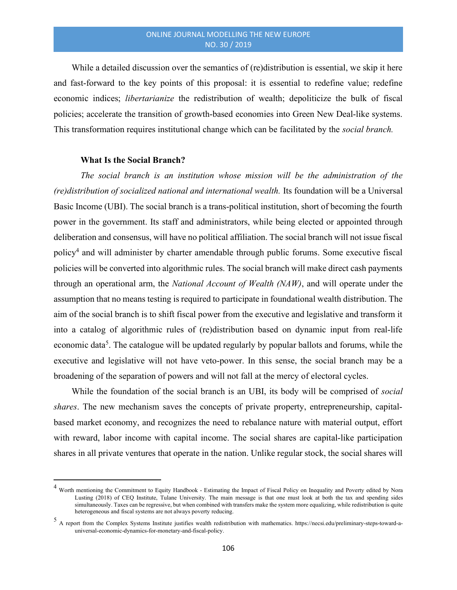While a detailed discussion over the semantics of (re)distribution is essential, we skip it here and fast-forward to the key points of this proposal: it is essential to redefine value; redefine economic indices; libertarianize the redistribution of wealth; depoliticize the bulk of fiscal policies; accelerate the transition of growth-based economies into Green New Deal-like systems. This transformation requires institutional change which can be facilitated by the *social branch*.

# What Is the Social Branch?

The social branch is an institution whose mission will be the administration of the (re)distribution of socialized national and international wealth. Its foundation will be a Universal Basic Income (UBI). The social branch is a trans-political institution, short of becoming the fourth power in the government. Its staff and administrators, while being elected or appointed through deliberation and consensus, will have no political affiliation. The social branch will not issue fiscal policy<sup>4</sup> and will administer by charter amendable through public forums. Some executive fiscal policies will be converted into algorithmic rules. The social branch will make direct cash payments through an operational arm, the National Account of Wealth (NAW), and will operate under the assumption that no means testing is required to participate in foundational wealth distribution. The aim of the social branch is to shift fiscal power from the executive and legislative and transform it into a catalog of algorithmic rules of (re)distribution based on dynamic input from real-life economic data<sup>5</sup>. The catalogue will be updated regularly by popular ballots and forums, while the executive and legislative will not have veto-power. In this sense, the social branch may be a broadening of the separation of powers and will not fall at the mercy of electoral cycles.

While the foundation of the social branch is an UBI, its body will be comprised of *social* shares. The new mechanism saves the concepts of private property, entrepreneurship, capitalbased market economy, and recognizes the need to rebalance nature with material output, effort with reward, labor income with capital income. The social shares are capital-like participation shares in all private ventures that operate in the nation. Unlike regular stock, the social shares will

<sup>&</sup>lt;sup>4</sup> Worth mentioning the Commitment to Equity Handbook - Estimating the Impact of Fiscal Policy on Inequality and Poverty edited by Nora Lusting (2018) of CEQ Institute, Tulane University. The main message is that one must look at both the tax and spending sides simultaneously. Taxes can be regressive, but when combined with transfers make the system more equalizing, while redistribution is quite heterogeneous and fiscal systems are not always poverty reducing.

<sup>5</sup> A report from the Complex Systems Institute justifies wealth redistribution with mathematics. https://necsi.edu/preliminary-steps-toward-auniversal-economic-dynamics-for-monetary-and-fiscal-policy.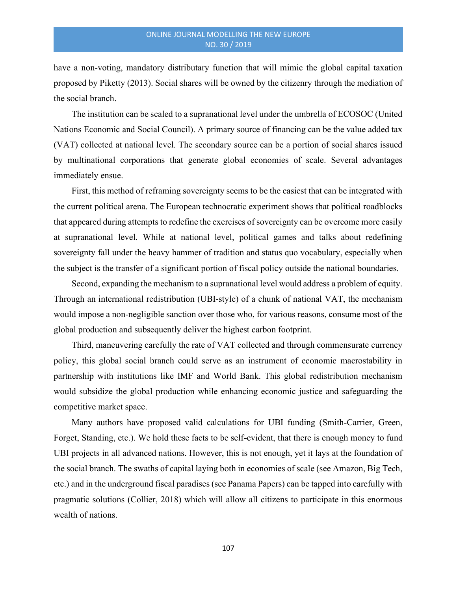have a non-voting, mandatory distributary function that will mimic the global capital taxation proposed by Piketty (2013). Social shares will be owned by the citizenry through the mediation of the social branch.

The institution can be scaled to a supranational level under the umbrella of ECOSOC (United Nations Economic and Social Council). A primary source of financing can be the value added tax (VAT) collected at national level. The secondary source can be a portion of social shares issued by multinational corporations that generate global economies of scale. Several advantages immediately ensue.

First, this method of reframing sovereignty seems to be the easiest that can be integrated with the current political arena. The European technocratic experiment shows that political roadblocks that appeared during attempts to redefine the exercises of sovereignty can be overcome more easily at supranational level. While at national level, political games and talks about redefining sovereignty fall under the heavy hammer of tradition and status quo vocabulary, especially when the subject is the transfer of a significant portion of fiscal policy outside the national boundaries.

Second, expanding the mechanism to a supranational level would address a problem of equity. Through an international redistribution (UBI-style) of a chunk of national VAT, the mechanism would impose a non-negligible sanction over those who, for various reasons, consume most of the global production and subsequently deliver the highest carbon footprint.

Third, maneuvering carefully the rate of VAT collected and through commensurate currency policy, this global social branch could serve as an instrument of economic macrostability in partnership with institutions like IMF and World Bank. This global redistribution mechanism would subsidize the global production while enhancing economic justice and safeguarding the competitive market space.

Many authors have proposed valid calculations for UBI funding (Smith-Carrier, Green, Forget, Standing, etc.). We hold these facts to be self-evident, that there is enough money to fund UBI projects in all advanced nations. However, this is not enough, yet it lays at the foundation of the social branch. The swaths of capital laying both in economies of scale (see Amazon, Big Tech, etc.) and in the underground fiscal paradises (see Panama Papers) can be tapped into carefully with pragmatic solutions (Collier, 2018) which will allow all citizens to participate in this enormous wealth of nations.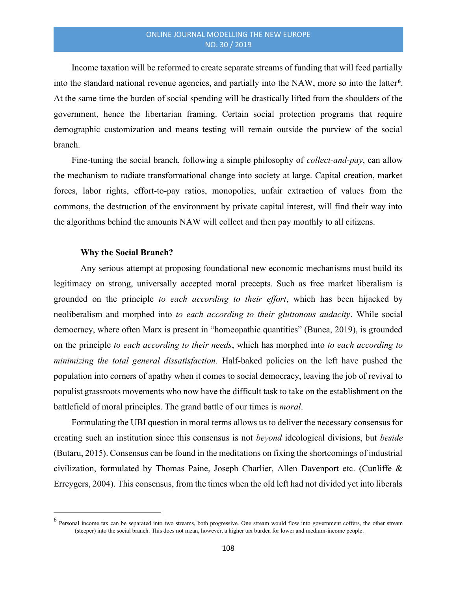Income taxation will be reformed to create separate streams of funding that will feed partially into the standard national revenue agencies, and partially into the NAW, more so into the latter<sup>6</sup>. At the same time the burden of social spending will be drastically lifted from the shoulders of the government, hence the libertarian framing. Certain social protection programs that require demographic customization and means testing will remain outside the purview of the social branch.

Fine-tuning the social branch, following a simple philosophy of *collect-and-pay*, can allow the mechanism to radiate transformational change into society at large. Capital creation, market forces, labor rights, effort-to-pay ratios, monopolies, unfair extraction of values from the commons, the destruction of the environment by private capital interest, will find their way into the algorithms behind the amounts NAW will collect and then pay monthly to all citizens.

#### Why the Social Branch?

Any serious attempt at proposing foundational new economic mechanisms must build its legitimacy on strong, universally accepted moral precepts. Such as free market liberalism is grounded on the principle to each according to their effort, which has been hijacked by neoliberalism and morphed into to each according to their gluttonous audacity. While social democracy, where often Marx is present in "homeopathic quantities" (Bunea, 2019), is grounded on the principle to each according to their needs, which has morphed into to each according to minimizing the total general dissatisfaction. Half-baked policies on the left have pushed the population into corners of apathy when it comes to social democracy, leaving the job of revival to populist grassroots movements who now have the difficult task to take on the establishment on the battlefield of moral principles. The grand battle of our times is moral.

Formulating the UBI question in moral terms allows us to deliver the necessary consensus for creating such an institution since this consensus is not beyond ideological divisions, but beside (Butaru, 2015). Consensus can be found in the meditations on fixing the shortcomings of industrial civilization, formulated by Thomas Paine, Joseph Charlier, Allen Davenport etc. (Cunliffe & Erreygers, 2004). This consensus, from the times when the old left had not divided yet into liberals

 $^6$  Personal income tax can be separated into two streams, both progressive. One stream would flow into government coffers, the other stream (steeper) into the social branch. This does not mean, however, a higher tax burden for lower and medium-income people.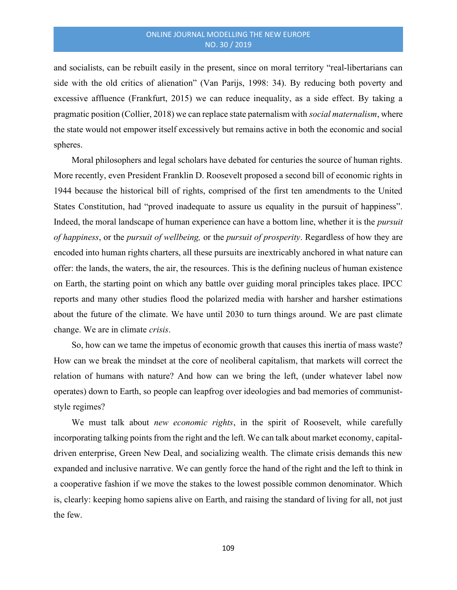and socialists, can be rebuilt easily in the present, since on moral territory "real-libertarians can side with the old critics of alienation" (Van Parijs, 1998: 34). By reducing both poverty and excessive affluence (Frankfurt, 2015) we can reduce inequality, as a side effect. By taking a pragmatic position (Collier, 2018) we can replace state paternalism with *social maternalism*, where the state would not empower itself excessively but remains active in both the economic and social spheres.

Moral philosophers and legal scholars have debated for centuries the source of human rights. More recently, even President Franklin D. Roosevelt proposed a second bill of economic rights in 1944 because the historical bill of rights, comprised of the first ten amendments to the United States Constitution, had "proved inadequate to assure us equality in the pursuit of happiness". Indeed, the moral landscape of human experience can have a bottom line, whether it is the pursuit of happiness, or the pursuit of wellbeing, or the pursuit of prosperity. Regardless of how they are encoded into human rights charters, all these pursuits are inextricably anchored in what nature can offer: the lands, the waters, the air, the resources. This is the defining nucleus of human existence on Earth, the starting point on which any battle over guiding moral principles takes place. IPCC reports and many other studies flood the polarized media with harsher and harsher estimations about the future of the climate. We have until 2030 to turn things around. We are past climate change. We are in climate crisis.

So, how can we tame the impetus of economic growth that causes this inertia of mass waste? How can we break the mindset at the core of neoliberal capitalism, that markets will correct the relation of humans with nature? And how can we bring the left, (under whatever label now operates) down to Earth, so people can leapfrog over ideologies and bad memories of communiststyle regimes?

We must talk about *new economic rights*, in the spirit of Roosevelt, while carefully incorporating talking points from the right and the left. We can talk about market economy, capitaldriven enterprise, Green New Deal, and socializing wealth. The climate crisis demands this new expanded and inclusive narrative. We can gently force the hand of the right and the left to think in a cooperative fashion if we move the stakes to the lowest possible common denominator. Which is, clearly: keeping homo sapiens alive on Earth, and raising the standard of living for all, not just the few.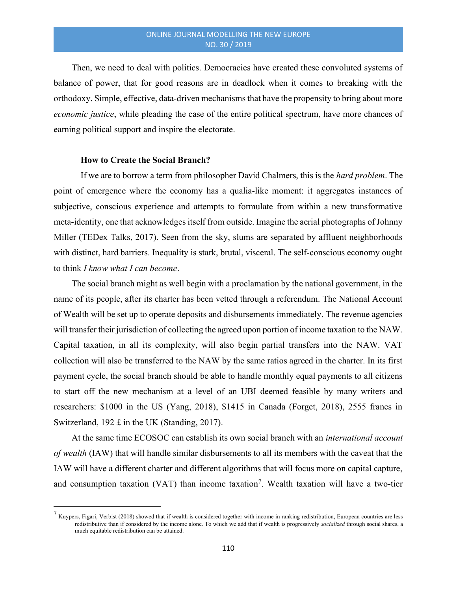Then, we need to deal with politics. Democracies have created these convoluted systems of balance of power, that for good reasons are in deadlock when it comes to breaking with the orthodoxy. Simple, effective, data-driven mechanisms that have the propensity to bring about more economic justice, while pleading the case of the entire political spectrum, have more chances of earning political support and inspire the electorate.

## How to Create the Social Branch?

If we are to borrow a term from philosopher David Chalmers, this is the *hard problem*. The point of emergence where the economy has a qualia-like moment: it aggregates instances of subjective, conscious experience and attempts to formulate from within a new transformative meta-identity, one that acknowledges itself from outside. Imagine the aerial photographs of Johnny Miller (TEDex Talks, 2017). Seen from the sky, slums are separated by affluent neighborhoods with distinct, hard barriers. Inequality is stark, brutal, visceral. The self-conscious economy ought to think I know what I can become.

The social branch might as well begin with a proclamation by the national government, in the name of its people, after its charter has been vetted through a referendum. The National Account of Wealth will be set up to operate deposits and disbursements immediately. The revenue agencies will transfer their jurisdiction of collecting the agreed upon portion of income taxation to the NAW. Capital taxation, in all its complexity, will also begin partial transfers into the NAW. VAT collection will also be transferred to the NAW by the same ratios agreed in the charter. In its first payment cycle, the social branch should be able to handle monthly equal payments to all citizens to start off the new mechanism at a level of an UBI deemed feasible by many writers and researchers: \$1000 in the US (Yang, 2018), \$1415 in Canada (Forget, 2018), 2555 francs in Switzerland, 192  $\pounds$  in the UK (Standing, 2017).

At the same time ECOSOC can establish its own social branch with an *international account* of wealth (IAW) that will handle similar disbursements to all its members with the caveat that the IAW will have a different charter and different algorithms that will focus more on capital capture, and consumption taxation (VAT) than income taxation<sup>7</sup>. Wealth taxation will have a two-tier

 $^7$  Kuypers, Figari, Verbist (2018) showed that if wealth is considered together with income in ranking redistribution, European countries are less redistributive than if considered by the income alone. To which we add that if wealth is progressively *socialized* through social shares, a much equitable redistribution can be attained.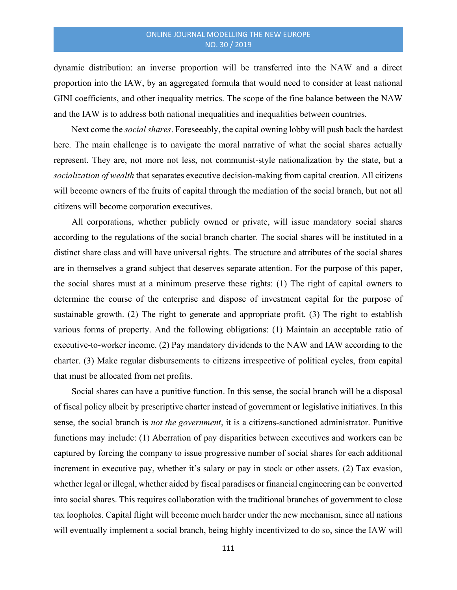dynamic distribution: an inverse proportion will be transferred into the NAW and a direct proportion into the IAW, by an aggregated formula that would need to consider at least national GINI coefficients, and other inequality metrics. The scope of the fine balance between the NAW and the IAW is to address both national inequalities and inequalities between countries.

Next come the *social shares*. Foreseeably, the capital owning lobby will push back the hardest here. The main challenge is to navigate the moral narrative of what the social shares actually represent. They are, not more not less, not communist-style nationalization by the state, but a socialization of wealth that separates executive decision-making from capital creation. All citizens will become owners of the fruits of capital through the mediation of the social branch, but not all citizens will become corporation executives.

All corporations, whether publicly owned or private, will issue mandatory social shares according to the regulations of the social branch charter. The social shares will be instituted in a distinct share class and will have universal rights. The structure and attributes of the social shares are in themselves a grand subject that deserves separate attention. For the purpose of this paper, the social shares must at a minimum preserve these rights: (1) The right of capital owners to determine the course of the enterprise and dispose of investment capital for the purpose of sustainable growth. (2) The right to generate and appropriate profit. (3) The right to establish various forms of property. And the following obligations: (1) Maintain an acceptable ratio of executive-to-worker income. (2) Pay mandatory dividends to the NAW and IAW according to the charter. (3) Make regular disbursements to citizens irrespective of political cycles, from capital that must be allocated from net profits.

Social shares can have a punitive function. In this sense, the social branch will be a disposal of fiscal policy albeit by prescriptive charter instead of government or legislative initiatives. In this sense, the social branch is not the government, it is a citizens-sanctioned administrator. Punitive functions may include: (1) Aberration of pay disparities between executives and workers can be captured by forcing the company to issue progressive number of social shares for each additional increment in executive pay, whether it's salary or pay in stock or other assets. (2) Tax evasion, whether legal or illegal, whether aided by fiscal paradises or financial engineering can be converted into social shares. This requires collaboration with the traditional branches of government to close tax loopholes. Capital flight will become much harder under the new mechanism, since all nations will eventually implement a social branch, being highly incentivized to do so, since the IAW will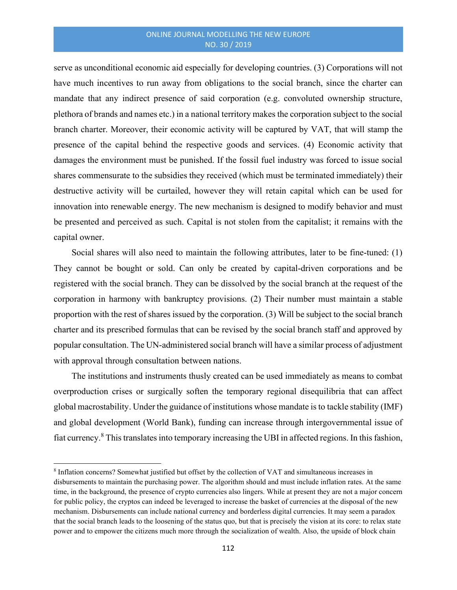# ONLINE JOURNAL MODELLING THE NEW EUROPE NO. 30 / 2019

serve as unconditional economic aid especially for developing countries. (3) Corporations will not have much incentives to run away from obligations to the social branch, since the charter can mandate that any indirect presence of said corporation (e.g. convoluted ownership structure, plethora of brands and names etc.) in a national territory makes the corporation subject to the social branch charter. Moreover, their economic activity will be captured by VAT, that will stamp the presence of the capital behind the respective goods and services. (4) Economic activity that damages the environment must be punished. If the fossil fuel industry was forced to issue social shares commensurate to the subsidies they received (which must be terminated immediately) their destructive activity will be curtailed, however they will retain capital which can be used for innovation into renewable energy. The new mechanism is designed to modify behavior and must be presented and perceived as such. Capital is not stolen from the capitalist; it remains with the capital owner.

Social shares will also need to maintain the following attributes, later to be fine-tuned: (1) They cannot be bought or sold. Can only be created by capital-driven corporations and be registered with the social branch. They can be dissolved by the social branch at the request of the corporation in harmony with bankruptcy provisions. (2) Their number must maintain a stable proportion with the rest of shares issued by the corporation. (3) Will be subject to the social branch charter and its prescribed formulas that can be revised by the social branch staff and approved by popular consultation. The UN-administered social branch will have a similar process of adjustment with approval through consultation between nations.

The institutions and instruments thusly created can be used immediately as means to combat overproduction crises or surgically soften the temporary regional disequilibria that can affect global macrostability. Under the guidance of institutions whose mandate is to tackle stability (IMF) and global development (World Bank), funding can increase through intergovernmental issue of fiat currency.<sup>8</sup> This translates into temporary increasing the UBI in affected regions. In this fashion,

<sup>&</sup>lt;sup>8</sup> Inflation concerns? Somewhat justified but offset by the collection of VAT and simultaneous increases in disbursements to maintain the purchasing power. The algorithm should and must include inflation rates. At the same time, in the background, the presence of crypto currencies also lingers. While at present they are not a major concern for public policy, the cryptos can indeed be leveraged to increase the basket of currencies at the disposal of the new mechanism. Disbursements can include national currency and borderless digital currencies. It may seem a paradox that the social branch leads to the loosening of the status quo, but that is precisely the vision at its core: to relax state power and to empower the citizens much more through the socialization of wealth. Also, the upside of block chain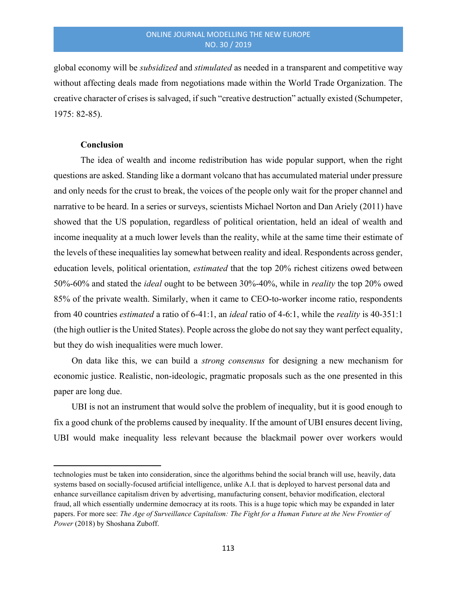global economy will be subsidized and stimulated as needed in a transparent and competitive way without affecting deals made from negotiations made within the World Trade Organization. The creative character of crises is salvaged, if such "creative destruction" actually existed (Schumpeter, 1975: 82-85).

## **Conclusion**

The idea of wealth and income redistribution has wide popular support, when the right questions are asked. Standing like a dormant volcano that has accumulated material under pressure and only needs for the crust to break, the voices of the people only wait for the proper channel and narrative to be heard. In a series or surveys, scientists Michael Norton and Dan Ariely (2011) have showed that the US population, regardless of political orientation, held an ideal of wealth and income inequality at a much lower levels than the reality, while at the same time their estimate of the levels of these inequalities lay somewhat between reality and ideal. Respondents across gender, education levels, political orientation, estimated that the top 20% richest citizens owed between 50%-60% and stated the ideal ought to be between 30%-40%, while in reality the top 20% owed 85% of the private wealth. Similarly, when it came to CEO-to-worker income ratio, respondents from 40 countries estimated a ratio of 6-41:1, an ideal ratio of 4-6:1, while the reality is 40-351:1 (the high outlier is the United States). People across the globe do not say they want perfect equality, but they do wish inequalities were much lower.

On data like this, we can build a strong consensus for designing a new mechanism for economic justice. Realistic, non-ideologic, pragmatic proposals such as the one presented in this paper are long due.

UBI is not an instrument that would solve the problem of inequality, but it is good enough to fix a good chunk of the problems caused by inequality. If the amount of UBI ensures decent living, UBI would make inequality less relevant because the blackmail power over workers would

technologies must be taken into consideration, since the algorithms behind the social branch will use, heavily, data systems based on socially-focused artificial intelligence, unlike A.I. that is deployed to harvest personal data and enhance surveillance capitalism driven by advertising, manufacturing consent, behavior modification, electoral fraud, all which essentially undermine democracy at its roots. This is a huge topic which may be expanded in later papers. For more see: The Age of Surveillance Capitalism: The Fight for a Human Future at the New Frontier of Power (2018) by Shoshana Zuboff.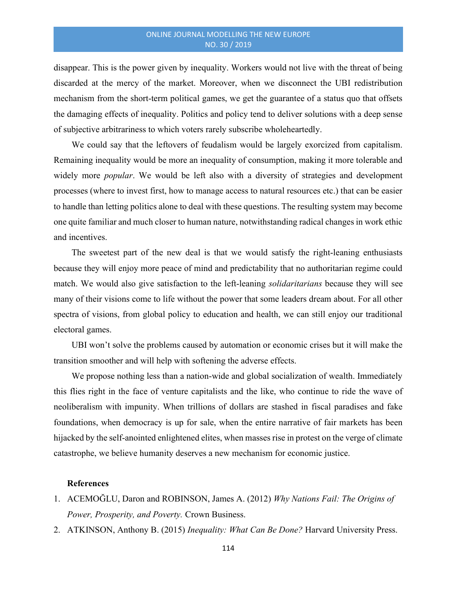disappear. This is the power given by inequality. Workers would not live with the threat of being discarded at the mercy of the market. Moreover, when we disconnect the UBI redistribution mechanism from the short-term political games, we get the guarantee of a status quo that offsets the damaging effects of inequality. Politics and policy tend to deliver solutions with a deep sense of subjective arbitrariness to which voters rarely subscribe wholeheartedly.

We could say that the leftovers of feudalism would be largely exorcized from capitalism. Remaining inequality would be more an inequality of consumption, making it more tolerable and widely more *popular*. We would be left also with a diversity of strategies and development processes (where to invest first, how to manage access to natural resources etc.) that can be easier to handle than letting politics alone to deal with these questions. The resulting system may become one quite familiar and much closer to human nature, notwithstanding radical changes in work ethic and incentives.

The sweetest part of the new deal is that we would satisfy the right-leaning enthusiasts because they will enjoy more peace of mind and predictability that no authoritarian regime could match. We would also give satisfaction to the left-leaning *solidaritarians* because they will see many of their visions come to life without the power that some leaders dream about. For all other spectra of visions, from global policy to education and health, we can still enjoy our traditional electoral games.

UBI won't solve the problems caused by automation or economic crises but it will make the transition smoother and will help with softening the adverse effects.

We propose nothing less than a nation-wide and global socialization of wealth. Immediately this flies right in the face of venture capitalists and the like, who continue to ride the wave of neoliberalism with impunity. When trillions of dollars are stashed in fiscal paradises and fake foundations, when democracy is up for sale, when the entire narrative of fair markets has been hijacked by the self-anointed enlightened elites, when masses rise in protest on the verge of climate catastrophe, we believe humanity deserves a new mechanism for economic justice.

### References

- 1. ACEMOGLU, Daron and ROBINSON, James A. (2012) Why Nations Fail: The Origins of Power, Prosperity, and Poverty. Crown Business.
- 2. ATKINSON, Anthony B. (2015) Inequality: What Can Be Done? Harvard University Press.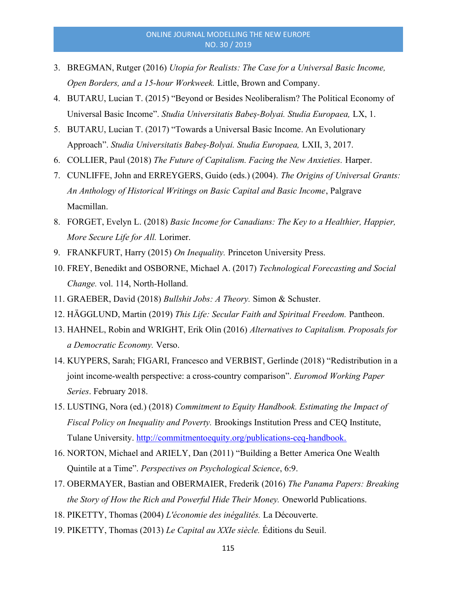- 3. BREGMAN, Rutger (2016) Utopia for Realists: The Case for a Universal Basic Income, Open Borders, and a 15-hour Workweek. Little, Brown and Company.
- 4. BUTARU, Lucian T. (2015) "Beyond or Besides Neoliberalism? The Political Economy of Universal Basic Income". Studia Universitatis Babeș-Bolyai. Studia Europaea, LX, 1.
- 5. BUTARU, Lucian T. (2017) "Towards a Universal Basic Income. An Evolutionary Approach". Studia Universitatis Babeș-Bolyai. Studia Europaea, LXII, 3, 2017.
- 6. COLLIER, Paul (2018) The Future of Capitalism. Facing the New Anxieties. Harper.
- 7. CUNLIFFE, John and ERREYGERS, Guido (eds.) (2004). The Origins of Universal Grants: An Anthology of Historical Writings on Basic Capital and Basic Income, Palgrave Macmillan.
- 8. FORGET, Evelyn L. (2018) Basic Income for Canadians: The Key to a Healthier, Happier, More Secure Life for All. Lorimer.
- 9. FRANKFURT, Harry (2015) On Inequality. Princeton University Press.
- 10. FREY, Benedikt and OSBORNE, Michael A. (2017) Technological Forecasting and Social Change. vol. 114, North-Holland.
- 11. GRAEBER, David (2018) Bullshit Jobs: A Theory. Simon & Schuster.
- 12. HÄGGLUND, Martin (2019) This Life: Secular Faith and Spiritual Freedom. Pantheon.
- 13. HAHNEL, Robin and WRIGHT, Erik Olin (2016) Alternatives to Capitalism. Proposals for a Democratic Economy. Verso.
- 14. KUYPERS, Sarah; FIGARI, Francesco and VERBIST, Gerlinde (2018) "Redistribution in a joint income-wealth perspective: a cross-country comparison". Euromod Working Paper Series. February 2018.
- 15. LUSTING, Nora (ed.) (2018) Commitment to Equity Handbook. Estimating the Impact of Fiscal Policy on Inequality and Poverty. Brookings Institution Press and CEQ Institute, Tulane University. http://commitmentoequity.org/publications-ceq-handbook.
- 16. NORTON, Michael and ARIELY, Dan (2011) "Building a Better America One Wealth Quintile at a Time". Perspectives on Psychological Science, 6:9.
- 17. OBERMAYER, Bastian and OBERMAIER, Frederik (2016) The Panama Papers: Breaking the Story of How the Rich and Powerful Hide Their Money. Oneworld Publications.
- 18. PIKETTY, Thomas (2004) L'économie des inégalités. La Découverte.
- 19. PIKETTY, Thomas (2013) Le Capital au XXIe siècle. Éditions du Seuil.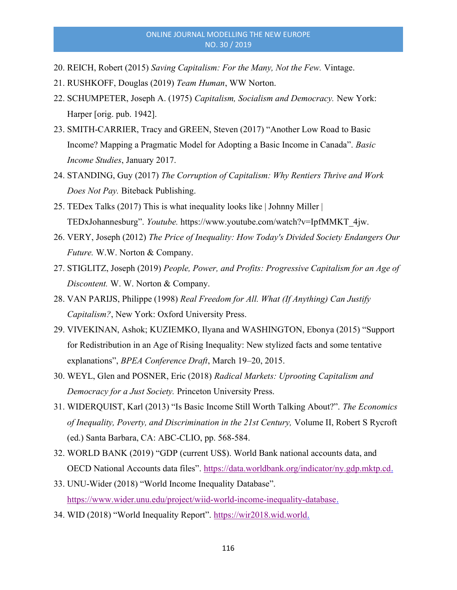# ONLINE JOURNAL MODELLING THE NEW EUROPE NO. 30 / 2019

- 20. REICH, Robert (2015) Saving Capitalism: For the Many, Not the Few. Vintage.
- 21. RUSHKOFF, Douglas (2019) Team Human, WW Norton.
- 22. SCHUMPETER, Joseph A. (1975) Capitalism, Socialism and Democracy. New York: Harper [orig. pub. 1942].
- 23. SMITH-CARRIER, Tracy and GREEN, Steven (2017) "Another Low Road to Basic Income? Mapping a Pragmatic Model for Adopting a Basic Income in Canada". Basic Income Studies, January 2017.
- 24. STANDING, Guy (2017) The Corruption of Capitalism: Why Rentiers Thrive and Work Does Not Pay. Biteback Publishing.
- 25. TEDex Talks (2017) This is what inequality looks like | Johnny Miller | TEDxJohannesburg". Youtube. https://www.youtube.com/watch?v=IpfMMKT\_4jw.
- 26. VERY, Joseph (2012) The Price of Inequality: How Today's Divided Society Endangers Our Future. W.W. Norton & Company.
- 27. STIGLITZ, Joseph (2019) People, Power, and Profits: Progressive Capitalism for an Age of Discontent. W. W. Norton & Company.
- 28. VAN PARIJS, Philippe (1998) Real Freedom for All. What (If Anything) Can Justify Capitalism?, New York: Oxford University Press.
- 29. VIVEKINAN, Ashok; KUZIEMKO, Ilyana and WASHINGTON, Ebonya (2015) "Support for Redistribution in an Age of Rising Inequality: New stylized facts and some tentative explanations", BPEA Conference Draft, March 19-20, 2015.
- 30. WEYL, Glen and POSNER, Eric (2018) Radical Markets: Uprooting Capitalism and Democracy for a Just Society. Princeton University Press.
- 31. WIDERQUIST, Karl (2013) "Is Basic Income Still Worth Talking About?". The Economics of Inequality, Poverty, and Discrimination in the 21st Century, Volume II, Robert S Rycroft (ed.) Santa Barbara, CA: ABC-CLIO, pp. 568-584.
- 32. WORLD BANK (2019) "GDP (current US\$). World Bank national accounts data, and OECD National Accounts data files". https://data.worldbank.org/indicator/ny.gdp.mktp.cd.
- 33. UNU-Wider (2018) "World Income Inequality Database". https://www.wider.unu.edu/project/wiid-world-income-inequality-database.
- 34. WID (2018) "World Inequality Report". https://wir2018.wid.world.